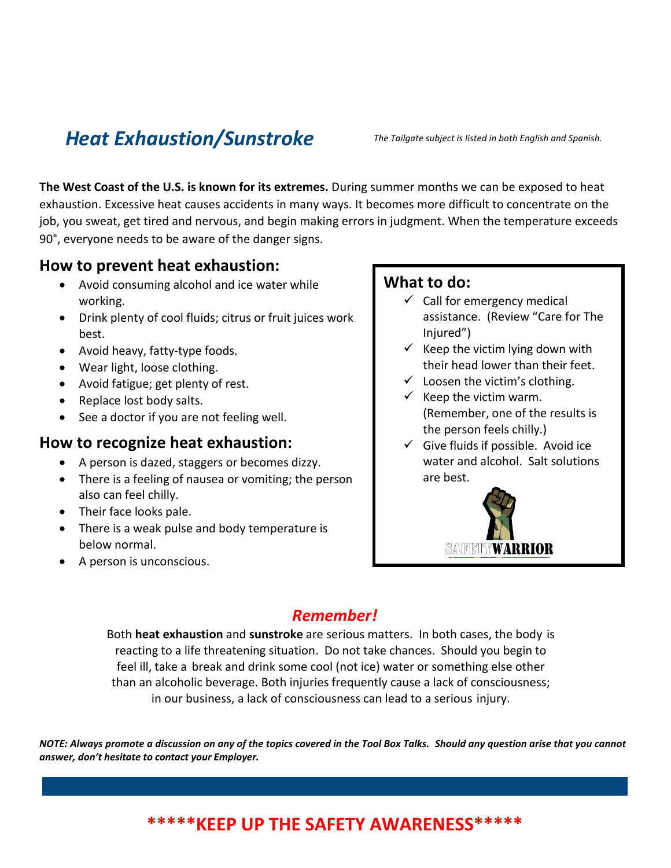# *Heat Exhaustion/Sunstroke The Tailgate subject is listed in both English and Spanish.*

**The West Coast of the U.S. is known for its extremes.** During summer months we can be exposed to heat exhaustion. Excessive heat causes accidents in many ways. It becomes more difficult to concentrate on the job, you sweat, get tired and nervous, and begin making errors in judgment. When the temperature exceeds 90°, everyone needs to be aware of the danger signs.

#### **How to prevent heat exhaustion:**

- Avoid consuming alcohol and ice water while working.
- Drink plenty of cool fluids; citrus or fruit juices work best.
- Avoid heavy, fatty-type foods.
- Wear light, loose clothing.
- Avoid fatigue; get plenty of rest.
- Replace lost body salts.
- See a doctor if you are not feeling well.

#### **How to recognize heat exhaustion:**

- A person is dazed, staggers or becomes dizzy.
- There is a feeling of nausea or vomiting; the person also can feel chilly.
- Their face looks pale.
- There is a weak pulse and body temperature is below normal.
- A person is unconscious.

#### **What to do:**

- $\checkmark$  Call for emergency medical assistance. (Review "Care for The Injured")
- $\checkmark$  Keep the victim lying down with their head lower than their feet.
- $\checkmark$  Loosen the victim's clothing.
- $\checkmark$  Keep the victim warm. (Remember, one of the results is the person feels chilly.)
- $\checkmark$  Give fluids if possible. Avoid ice water and alcohol. Salt solutions are best.



### *Remember!*

Both **heat exhaustion** and **sunstroke** are serious matters. In both cases, the body is reacting to a life threatening situation. Do not take chances. Should you begin to feel ill, take a break and drink some cool (not ice) water or something else other than an alcoholic beverage. Both injuries frequently cause a lack of consciousness; in our business, a lack of consciousness can lead to a serious injury.

NOTE: Always promote a discussion on any of the topics covered in the Tool Box Talks. Should any question arise that you cannot *answer, don't hesitate to contact your Employer.*

### **\*\*\*\*\*KEEP UP THE SAFETY AWARENESS\*\*\*\*\***